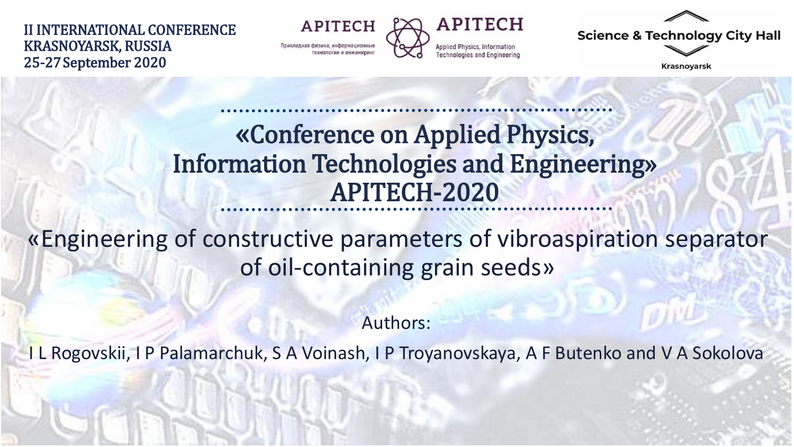II INTERNATIONAL CONFERENCE KRASNOYARSK, RUSSIA 25-27September 2020

**APITECH** Прикладная физика, информационны



**Science & Technology City Hall** 

**Krasnoyarsk** 

### «Conference on Applied Physics, Information Technologies and Engineering» APITECH-2020

«Engineering of constructive parameters of vibroaspiration separator of oil-containing grain seeds»

Authors:

I L Rogovskii, I P Palamarchuk, S A Voinash, I P Troyanovskaya, A F Butenko and V A Sokolova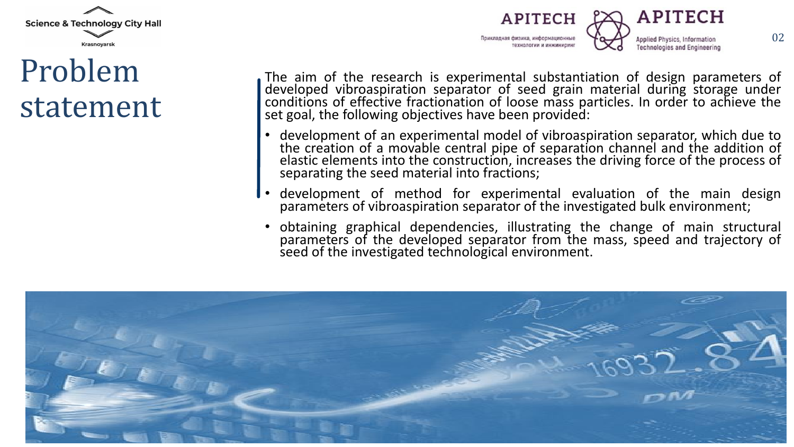

## Problem statement



The aim of the research is experimental substantiation of design parameters of developed vibroaspiration separator of seed grain material during storage under conditions of effective fractionation of loose mass particles. In order to achieve the set goal, the following objectives have been provided:

- development of an experimental model of vibroaspiration separator, which due to the creation of a movable central pipe of separation channel and the addition of elastic elements into the construction, increases the driving force of the process of separating the seed material into fractions;
- development of method for experimental evaluation of the main design parameters of vibroaspiration separator of the investigated bulk environment;
- obtaining graphical dependencies, illustrating the change of main structural parameters of the developed separator from the mass, speed and trajectory of seed of the investigated technological environment.

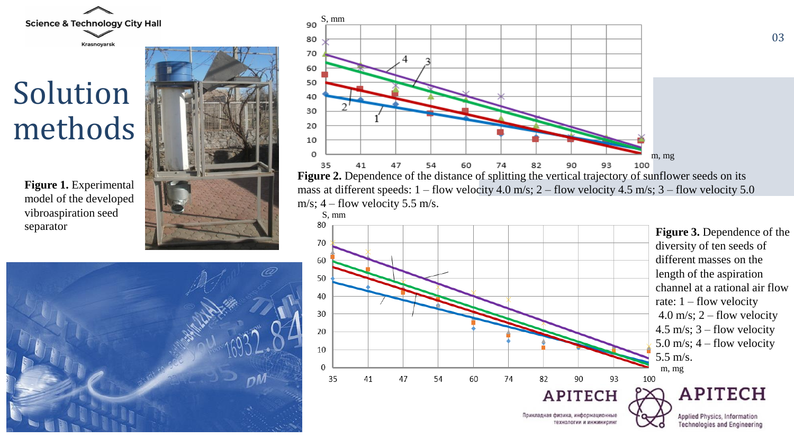**Science & Technology City Hall** 

Krasnoyarsk

Solution methods

> **Figure 1.** Experimental model of the developed vibroaspiration seed separator





03

**Figure 2.** Dependence of the distance of splitting the vertical trajectory of sunflower seeds on its mass at different speeds:  $1 -$  flow velocity 4.0 m/s;  $2 -$  flow velocity 4.5 m/s;  $3 -$  flow velocity 5.0 m/s;  $4 -$  flow velocity 5.5 m/s.



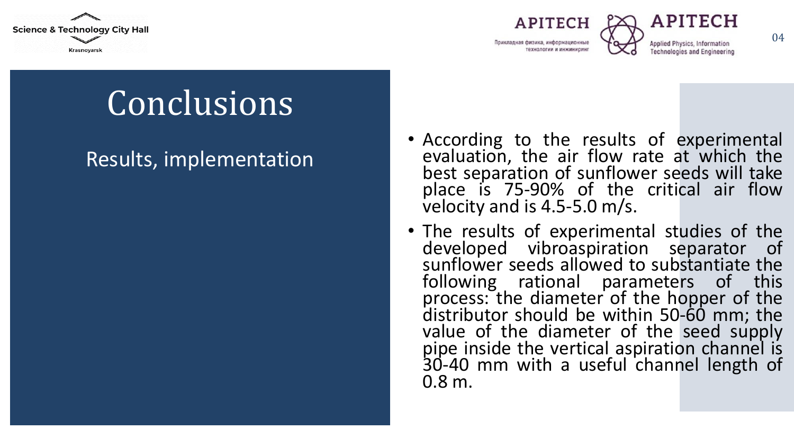





Conclusions

#### Results, implementation

- According to the results of experimental evaluation, the air flow rate at which the best separation of sunflower seeds will take place is 75-90% of the critical air flow velocity and is 4.5-5.0 m/s.
- The results of experimental studies of the developed vibroaspiration separator of sunflower seeds allowed to substantiate the following rational parameters of this process: the diameter of the hopper of the distributor should be within 50-60 mm; the value of the diameter of the seed supply pipe inside the vertical aspiration channel is 30-40 mm with a useful channel length of 0.8 m.